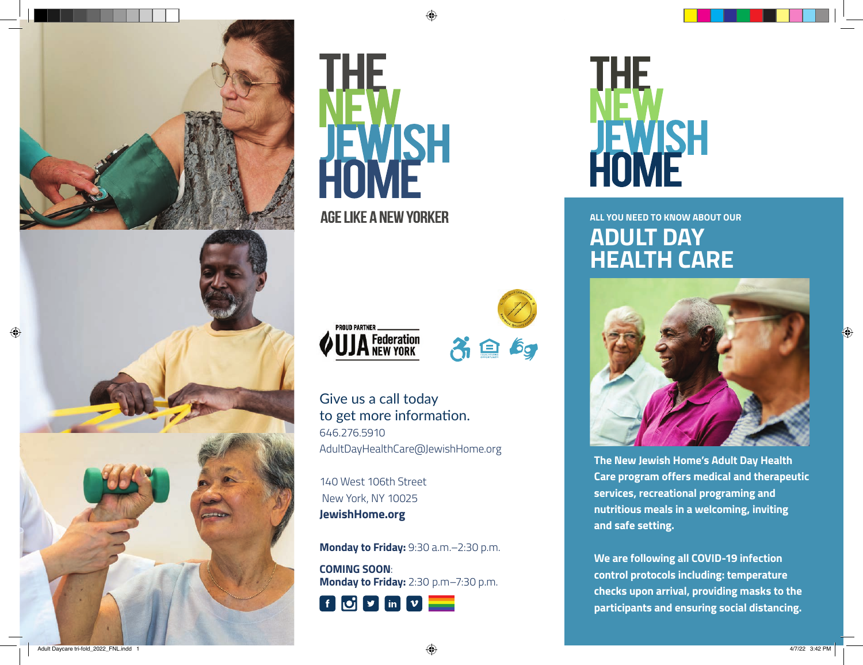





**AGE LIKE A NEW YORKER** 





Give us a call today to get more information. 646.276.5910

AdultDayHealthCare@JewishHome.org

140 West 106th Street New York, NY 10025 **JewishHome.org**

**Monday to Friday:** 9:30 a.m.–2:30 p.m.

**COMING SOON**: **Monday to Friday:** 2:30 p.m–7:30 p.m.





**ALL YOU NEED TO KNOW ABOUT OUR ADULT DAY HEALTH CARE**



**The New Jewish Home's Adult Day Health Care program offers medical and therapeutic services, recreational programing and nutritious meals in a welcoming, inviting and safe setting.**

**We are following all COVID-19 infection control protocols including: temperature checks upon arrival, providing masks to the participants and ensuring social distancing.**